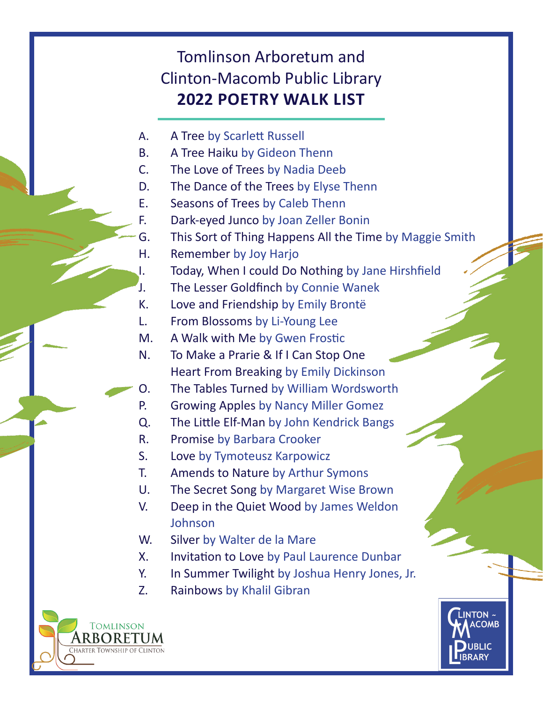## Tomlinson Arboretum and Clinton-Macomb Public Library **2022 POETRY WALK LIST**

- A. A Tree by Scarlett Russell
- B. A Tree Haiku by Gideon Thenn
- C. The Love of Trees by Nadia Deeb
- D. The Dance of the Trees by Elyse Thenn
- E. Seasons of Trees by Caleb Thenn
- F. Dark-eyed Junco by Joan Zeller Bonin
- G. This Sort of Thing Happens All the Time by Maggie Smith
- H. Remember by Joy Harjo
- I. Today, When I could Do Nothing by Jane Hirshfield
- J. The Lesser Goldfinch by Connie Wanek
- K. Love and Friendship by Emily Brontë
- L. From Blossoms by Li-Young Lee
- M. A Walk with Me by Gwen Frostic
- N. To Make a Prarie & If I Can Stop One Heart From Breaking by Emily Dickinson
- O. The Tables Turned by William Wordsworth
- P. Growing Apples by Nancy Miller Gomez
- Q. The Little Elf-Man by John Kendrick Bangs
- R. Promise by Barbara Crooker
- S. Love by Tymoteusz Karpowicz
- T. Amends to Nature by Arthur Symons
- U. The Secret Song by Margaret Wise Brown
- V. Deep in the Quiet Wood by James Weldon Johnson
- W. Silver by Walter de la Mare
- X. Invitation to Love by Paul Laurence Dunbar
- Y. In Summer Twilight by Joshua Henry Jones, Jr.
- Z. Rainbows by Khalil Gibran